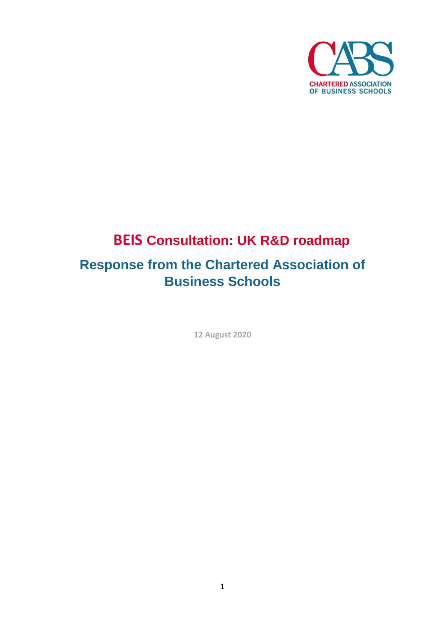

# **BEIS Consultation: UK R&D roadmap**

## **Response from the Chartered Association of Business Schools**

**12 August 2020**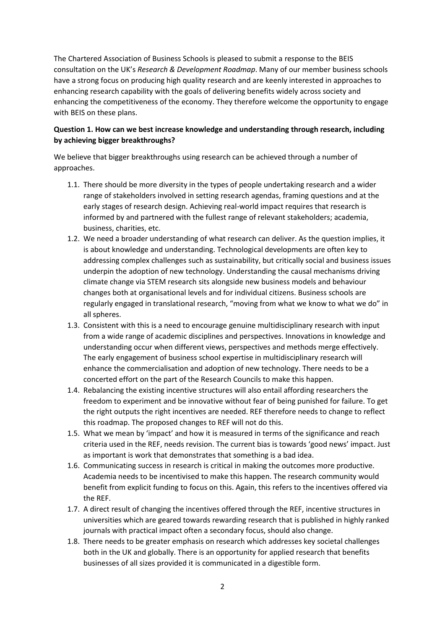The Chartered Association of Business Schools is pleased to submit a response to the BEIS consultation on the UK's *Research & Development Roadmap*. Many of our member business schools have a strong focus on producing high quality research and are keenly interested in approaches to enhancing research capability with the goals of delivering benefits widely across society and enhancing the competitiveness of the economy. They therefore welcome the opportunity to engage with BEIS on these plans.

## **Question 1. How can we best increase knowledge and understanding through research, including by achieving bigger breakthroughs?**

We believe that bigger breakthroughs using research can be achieved through a number of approaches.

- 1.1. There should be more diversity in the types of people undertaking research and a wider range of stakeholders involved in setting research agendas, framing questions and at the early stages of research design. Achieving real-world impact requires that research is informed by and partnered with the fullest range of relevant stakeholders; academia, business, charities, etc.
- 1.2. We need a broader understanding of what research can deliver. As the question implies, it is about knowledge and understanding. Technological developments are often key to addressing complex challenges such as sustainability, but critically social and business issues underpin the adoption of new technology. Understanding the causal mechanisms driving climate change via STEM research sits alongside new business models and behaviour changes both at organisational levels and for individual citizens. Business schools are regularly engaged in translational research, "moving from what we know to what we do" in all spheres.
- 1.3. Consistent with this is a need to encourage genuine multidisciplinary research with input from a wide range of academic disciplines and perspectives. Innovations in knowledge and understanding occur when different views, perspectives and methods merge effectively. The early engagement of business school expertise in multidisciplinary research will enhance the commercialisation and adoption of new technology. There needs to be a concerted effort on the part of the Research Councils to make this happen.
- 1.4. Rebalancing the existing incentive structures will also entail affording researchers the freedom to experiment and be innovative without fear of being punished for failure. To get the right outputs the right incentives are needed. REF therefore needs to change to reflect this roadmap. The proposed changes to REF will not do this.
- 1.5. What we mean by 'impact' and how it is measured in terms of the significance and reach criteria used in the REF, needs revision. The current bias is towards 'good news' impact. Just as important is work that demonstrates that something is a bad idea.
- 1.6. Communicating success in research is critical in making the outcomes more productive. Academia needs to be incentivised to make this happen. The research community would benefit from explicit funding to focus on this. Again, this refers to the incentives offered via the REF.
- 1.7. A direct result of changing the incentives offered through the REF, incentive structures in universities which are geared towards rewarding research that is published in highly ranked journals with practical impact often a secondary focus, should also change.
- 1.8. There needs to be greater emphasis on research which addresses key societal challenges both in the UK and globally. There is an opportunity for applied research that benefits businesses of all sizes provided it is communicated in a digestible form.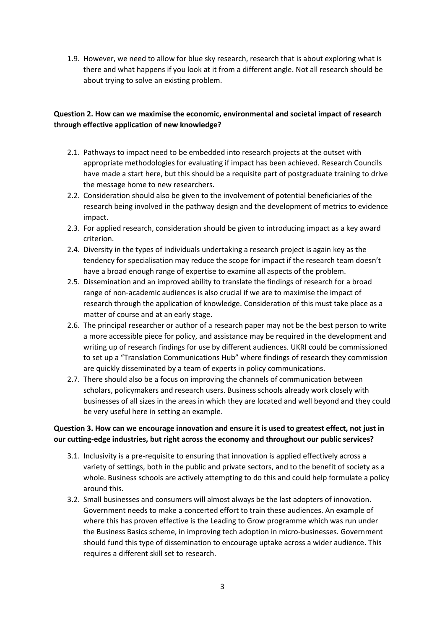1.9. However, we need to allow for blue sky research, research that is about exploring what is there and what happens if you look at it from a different angle. Not all research should be about trying to solve an existing problem.

## **Question 2. How can we maximise the economic, environmental and societal impact of research through effective application of new knowledge?**

- 2.1. Pathways to impact need to be embedded into research projects at the outset with appropriate methodologies for evaluating if impact has been achieved. Research Councils have made a start here, but this should be a requisite part of postgraduate training to drive the message home to new researchers.
- 2.2. Consideration should also be given to the involvement of potential beneficiaries of the research being involved in the pathway design and the development of metrics to evidence impact.
- 2.3. For applied research, consideration should be given to introducing impact as a key award criterion.
- 2.4. Diversity in the types of individuals undertaking a research project is again key as the tendency for specialisation may reduce the scope for impact if the research team doesn't have a broad enough range of expertise to examine all aspects of the problem.
- 2.5. Dissemination and an improved ability to translate the findings of research for a broad range of non-academic audiences is also crucial if we are to maximise the impact of research through the application of knowledge. Consideration of this must take place as a matter of course and at an early stage.
- 2.6. The principal researcher or author of a research paper may not be the best person to write a more accessible piece for policy, and assistance may be required in the development and writing up of research findings for use by different audiences. UKRI could be commissioned to set up a "Translation Communications Hub" where findings of research they commission are quickly disseminated by a team of experts in policy communications.
- 2.7. There should also be a focus on improving the channels of communication between scholars, policymakers and research users. Business schools already work closely with businesses of all sizes in the areas in which they are located and well beyond and they could be very useful here in setting an example.

### **Question 3. How can we encourage innovation and ensure it is used to greatest effect, not just in our cutting-edge industries, but right across the economy and throughout our public services?**

- 3.1. Inclusivity is a pre-requisite to ensuring that innovation is applied effectively across a variety of settings, both in the public and private sectors, and to the benefit of society as a whole. Business schools are actively attempting to do this and could help formulate a policy around this.
- 3.2. Small businesses and consumers will almost always be the last adopters of innovation. Government needs to make a concerted effort to train these audiences. An example of where this has proven effective is the Leading to Grow programme which was run under the Business Basics scheme, in improving tech adoption in micro-businesses. Government should fund this type of dissemination to encourage uptake across a wider audience. This requires a different skill set to research.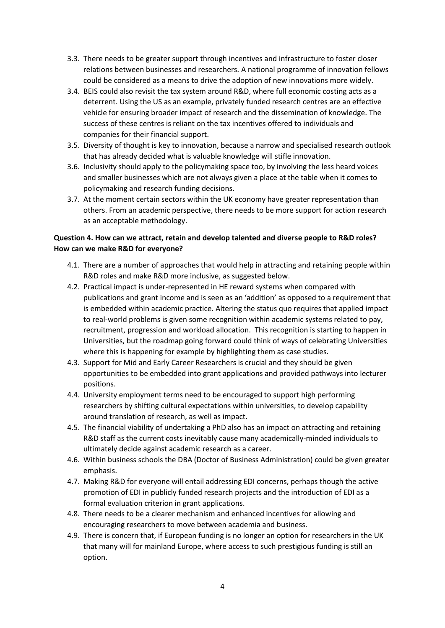- 3.3. There needs to be greater support through incentives and infrastructure to foster closer relations between businesses and researchers. A national programme of innovation fellows could be considered as a means to drive the adoption of new innovations more widely.
- 3.4. BEIS could also revisit the tax system around R&D, where full economic costing acts as a deterrent. Using the US as an example, privately funded research centres are an effective vehicle for ensuring broader impact of research and the dissemination of knowledge. The success of these centres is reliant on the tax incentives offered to individuals and companies for their financial support.
- 3.5. Diversity of thought is key to innovation, because a narrow and specialised research outlook that has already decided what is valuable knowledge will stifle innovation.
- 3.6. Inclusivity should apply to the policymaking space too, by involving the less heard voices and smaller businesses which are not always given a place at the table when it comes to policymaking and research funding decisions.
- 3.7. At the moment certain sectors within the UK economy have greater representation than others. From an academic perspective, there needs to be more support for action research as an acceptable methodology.

## **Question 4. How can we attract, retain and develop talented and diverse people to R&D roles? How can we make R&D for everyone?**

- 4.1. There are a number of approaches that would help in attracting and retaining people within R&D roles and make R&D more inclusive, as suggested below.
- 4.2. Practical impact is under-represented in HE reward systems when compared with publications and grant income and is seen as an 'addition' as opposed to a requirement that is embedded within academic practice. Altering the status quo requires that applied impact to real-world problems is given some recognition within academic systems related to pay, recruitment, progression and workload allocation. This recognition is starting to happen in Universities, but the roadmap going forward could think of ways of celebrating Universities where this is happening for example by highlighting them as case studies.
- 4.3. Support for Mid and Early Career Researchers is crucial and they should be given opportunities to be embedded into grant applications and provided pathways into lecturer positions.
- 4.4. University employment terms need to be encouraged to support high performing researchers by shifting cultural expectations within universities, to develop capability around translation of research, as well as impact.
- 4.5. The financial viability of undertaking a PhD also has an impact on attracting and retaining R&D staff as the current costs inevitably cause many academically-minded individuals to ultimately decide against academic research as a career.
- 4.6. Within business schools the DBA (Doctor of Business Administration) could be given greater emphasis.
- 4.7. Making R&D for everyone will entail addressing EDI concerns, perhaps though the active promotion of EDI in publicly funded research projects and the introduction of EDI as a formal evaluation criterion in grant applications.
- 4.8. There needs to be a clearer mechanism and enhanced incentives for allowing and encouraging researchers to move between academia and business.
- 4.9. There is concern that, if European funding is no longer an option for researchers in the UK that many will for mainland Europe, where access to such prestigious funding is still an option.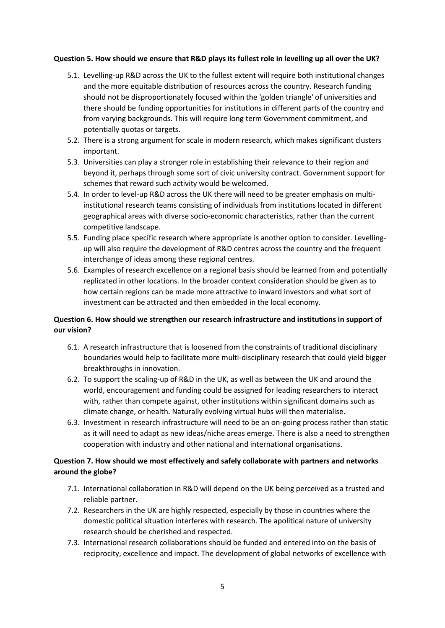#### **Question 5. How should we ensure that R&D plays its fullest role in levelling up all over the UK?**

- 5.1. Levelling-up R&D across the UK to the fullest extent will require both institutional changes and the more equitable distribution of resources across the country. Research funding should not be disproportionately focused within the 'golden triangle' of universities and there should be funding opportunities for institutions in different parts of the country and from varying backgrounds. This will require long term Government commitment, and potentially quotas or targets.
- 5.2. There is a strong argument for scale in modern research, which makes significant clusters important.
- 5.3. Universities can play a stronger role in establishing their relevance to their region and beyond it, perhaps through some sort of civic university contract. Government support for schemes that reward such activity would be welcomed.
- 5.4. In order to level-up R&D across the UK there will need to be greater emphasis on multiinstitutional research teams consisting of individuals from institutions located in different geographical areas with diverse socio-economic characteristics, rather than the current competitive landscape.
- 5.5. Funding place specific research where appropriate is another option to consider. Levellingup will also require the development of R&D centres across the country and the frequent interchange of ideas among these regional centres.
- 5.6. Examples of research excellence on a regional basis should be learned from and potentially replicated in other locations. In the broader context consideration should be given as to how certain regions can be made more attractive to inward investors and what sort of investment can be attracted and then embedded in the local economy.

## **Question 6. How should we strengthen our research infrastructure and institutions in support of our vision?**

- 6.1. A research infrastructure that is loosened from the constraints of traditional disciplinary boundaries would help to facilitate more multi-disciplinary research that could yield bigger breakthroughs in innovation.
- 6.2. To support the scaling-up of R&D in the UK, as well as between the UK and around the world, encouragement and funding could be assigned for leading researchers to interact with, rather than compete against, other institutions within significant domains such as climate change, or health. Naturally evolving virtual hubs will then materialise.
- 6.3. Investment in research infrastructure will need to be an on-going process rather than static as it will need to adapt as new ideas/niche areas emerge. There is also a need to strengthen cooperation with industry and other national and international organisations.

## **Question 7. How should we most effectively and safely collaborate with partners and networks around the globe?**

- 7.1. International collaboration in R&D will depend on the UK being perceived as a trusted and reliable partner.
- 7.2. Researchers in the UK are highly respected, especially by those in countries where the domestic political situation interferes with research. The apolitical nature of university research should be cherished and respected.
- 7.3. International research collaborations should be funded and entered into on the basis of reciprocity, excellence and impact. The development of global networks of excellence with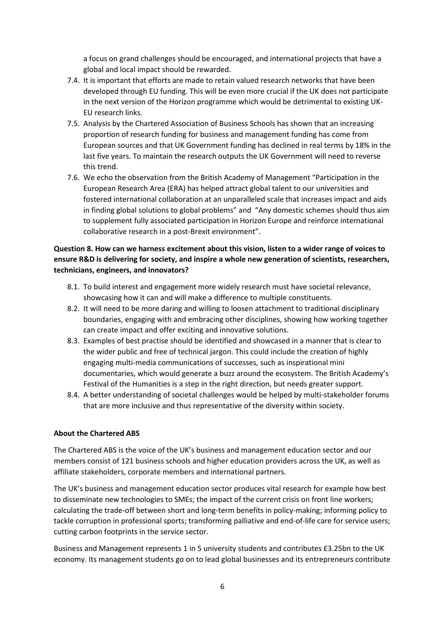a focus on grand challenges should be encouraged, and international projects that have a global and local impact should be rewarded.

- 7.4. It is important that efforts are made to retain valued research networks that have been developed through EU funding. This will be even more crucial if the UK does not participate in the next version of the Horizon programme which would be detrimental to existing UK-EU research links.
- 7.5. Analysis by the Chartered Association of Business Schools has shown that an increasing proportion of research funding for business and management funding has come from European sources and that UK Government funding has declined in real terms by 18% in the last five years. To maintain the research outputs the UK Government will need to reverse this trend.
- 7.6. We echo the observation from the British Academy of Management "Participation in the European Research Area (ERA) has helped attract global talent to our universities and fostered international collaboration at an unparalleled scale that increases impact and aids in finding global solutions to global problems" and "Any domestic schemes should thus aim to supplement fully associated participation in Horizon Europe and reinforce international collaborative research in a post-Brexit environment".

## **Question 8. How can we harness excitement about this vision, listen to a wider range of voices to ensure R&D is delivering for society, and inspire a whole new generation of scientists, researchers, technicians, engineers, and innovators?**

- 8.1. To build interest and engagement more widely research must have societal relevance, showcasing how it can and will make a difference to multiple constituents.
- 8.2. It will need to be more daring and willing to loosen attachment to traditional disciplinary boundaries, engaging with and embracing other disciplines, showing how working together can create impact and offer exciting and innovative solutions.
- 8.3. Examples of best practise should be identified and showcased in a manner that is clear to the wider public and free of technical jargon. This could include the creation of highly engaging multi-media communications of successes, such as inspirational mini documentaries, which would generate a buzz around the ecosystem. The British Academy's Festival of the Humanities is a step in the right direction, but needs greater support.
- 8.4. A better understanding of societal challenges would be helped by multi-stakeholder forums that are more inclusive and thus representative of the diversity within society.

#### **About the Chartered ABS**

The Chartered ABS is the voice of the UK's business and management education sector and our members consist of 121 business schools and higher education providers across the UK, as well as affiliate stakeholders, corporate members and international partners.

The UK's business and management education sector produces vital research for example how best to disseminate new technologies to SMEs; the impact of the current crisis on front line workers; calculating the trade-off between short and long-term benefits in policy-making; informing policy to tackle corruption in professional sports; transforming palliative and end-of-life care for service users; cutting carbon footprints in the service sector.

Business and Management represents 1 in 5 university students and contributes £3.25bn to the UK economy. Its management students go on to lead global businesses and its entrepreneurs contribute